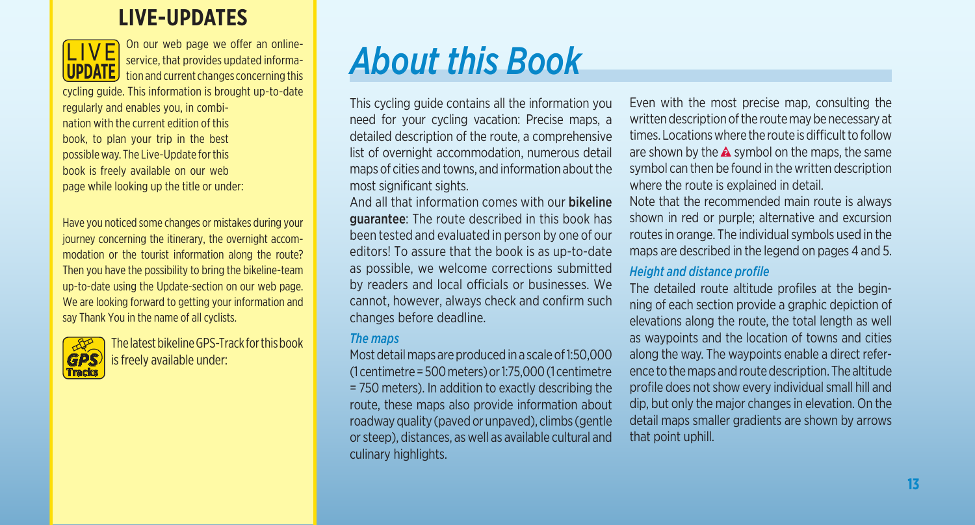# **LIVE-UPDATES**



On our web page we offer an onlineservice, that provides updated information and current changes concerning this

cycling guide. This information is brought up-to-date regularly and enables you, in combination with the current edition of this book, to plan your trip in the best possible way. The Live-Update for this book is freely available on our web page while looking up the title or under:

Have you noticed some changes or mistakes during your journey concerning the itinerary, the overnight accommodation or the tourist information along the route? Then you have the possibility to bring the bikeline-team up-to-date using the Update-section on our web page. We are looking forward to getting your information and say Thank You in the name of all cyclists.



The latest bikeline GPS-Track for this book is freely available under:

# *About this Book*

This cycling guide contains all the information you need for your cycling vacation: Precise maps, a detailed description of the route, a comprehensive list of overnight accommodation, numerous detail maps of cities and towns, and information about the most significant sights.

And all that information comes with our bikeline guarantee: The route described in this book has been tested and evaluated in person by one of our editors! To assure that the book is as up-to-date as possible, we welcome corrections submitted by readers and local officials or businesses. We cannot, however, always check and confirm such changes before deadline.

#### *The maps*

Most detail maps are produced in a scale of 1:50,000 (1 centimetre = 500 meters) or 1:75,000 (1 centimetre = 750 meters). In addition to exactly describing the route, these maps also provide information about roadway quality (paved or unpaved), climbs (gentle or steep), distances, as well as available cultural and culinary highlights.

Even with the most precise map, consulting the written description of the route may be necessary at times. Locations where the route is difficult to follow are shown by the  $\triangle$  symbol on the maps, the same symbol can then be found in the written description where the route is explained in detail.

Note that the recommended main route is always shown in red or purple; alternative and excursion routes in orange. The individual symbols used in the maps are described in the legend on pages 4 and 5.

#### *Height and distance profile*

The detailed route altitude profiles at the beginning of each section provide a graphic depiction of elevations along the route, the total length as well as waypoints and the location of towns and cities along the way. The waypoints enable a direct reference to the maps and route description. The altitude profile does not show every individual small hill and dip, but only the major changes in elevation. On the detail maps smaller gradients are shown by arrows that point uphill.